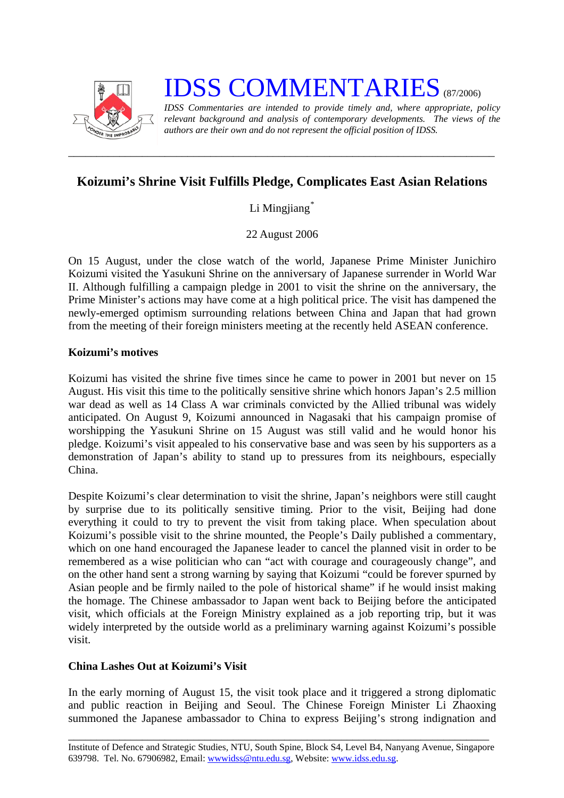

# **IDSS COMMENTARIES** (87/2006)

*IDSS Commentaries are intended to provide timely and, where appropriate, policy relevant background and analysis of contemporary developments. The views of the authors are their own and do not represent the official position of IDSS.* 

## **Koizumi's Shrine Visit Fulfills Pledge, Complicates East Asian Relations**

*\_\_\_\_\_\_\_\_\_\_\_\_\_\_\_\_\_\_\_\_\_\_\_\_\_\_\_\_\_\_\_\_\_\_\_\_\_\_\_\_\_\_\_\_\_\_\_\_\_\_\_\_\_\_\_\_\_\_\_\_\_\_\_\_\_\_\_\_\_\_\_\_\_\_\_* 

Li Mingjiang<sup>[\\*](#page-2-0)</sup>

22 August 2006

On 15 August, under the close watch of the world, Japanese Prime Minister Junichiro Koizumi visited the Yasukuni Shrine on the anniversary of Japanese surrender in World War II. Although fulfilling a campaign pledge in 2001 to visit the shrine on the anniversary, the Prime Minister's actions may have come at a high political price. The visit has dampened the newly-emerged optimism surrounding relations between China and Japan that had grown from the meeting of their foreign ministers meeting at the recently held ASEAN conference.

### **Koizumi's motives**

Koizumi has visited the shrine five times since he came to power in 2001 but never on 15 August. His visit this time to the politically sensitive shrine which honors Japan's 2.5 million war dead as well as 14 Class A war criminals convicted by the Allied tribunal was widely anticipated. On August 9, Koizumi announced in Nagasaki that his campaign promise of worshipping the Yasukuni Shrine on 15 August was still valid and he would honor his pledge. Koizumi's visit appealed to his conservative base and was seen by his supporters as a demonstration of Japan's ability to stand up to pressures from its neighbours, especially China.

Despite Koizumi's clear determination to visit the shrine, Japan's neighbors were still caught by surprise due to its politically sensitive timing. Prior to the visit, Beijing had done everything it could to try to prevent the visit from taking place. When speculation about Koizumi's possible visit to the shrine mounted, the People's Daily published a commentary, which on one hand encouraged the Japanese leader to cancel the planned visit in order to be remembered as a wise politician who can "act with courage and courageously change", and on the other hand sent a strong warning by saying that Koizumi "could be forever spurned by Asian people and be firmly nailed to the pole of historical shame" if he would insist making the homage. The Chinese ambassador to Japan went back to Beijing before the anticipated visit, which officials at the Foreign Ministry explained as a job reporting trip, but it was widely interpreted by the outside world as a preliminary warning against Koizumi's possible visit.

### **China Lashes Out at Koizumi's Visit**

In the early morning of August 15, the visit took place and it triggered a strong diplomatic and public reaction in Beijing and Seoul. The Chinese Foreign Minister Li Zhaoxing summoned the Japanese ambassador to China to express Beijing's strong indignation and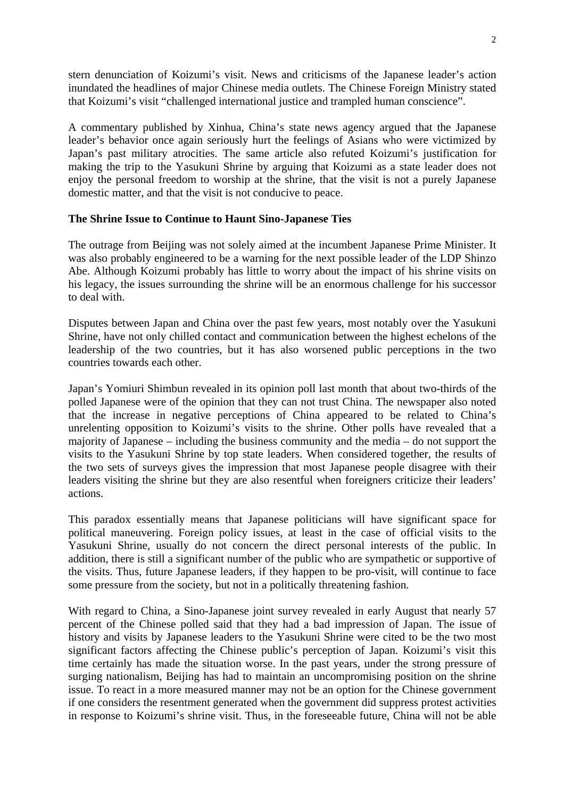stern denunciation of Koizumi's visit. News and criticisms of the Japanese leader's action inundated the headlines of major Chinese media outlets. The Chinese Foreign Ministry stated that Koizumi's visit "challenged international justice and trampled human conscience".

A commentary published by Xinhua, China's state news agency argued that the Japanese leader's behavior once again seriously hurt the feelings of Asians who were victimized by Japan's past military atrocities. The same article also refuted Koizumi's justification for making the trip to the Yasukuni Shrine by arguing that Koizumi as a state leader does not enjoy the personal freedom to worship at the shrine, that the visit is not a purely Japanese domestic matter, and that the visit is not conducive to peace.

#### **The Shrine Issue to Continue to Haunt Sino-Japanese Ties**

The outrage from Beijing was not solely aimed at the incumbent Japanese Prime Minister. It was also probably engineered to be a warning for the next possible leader of the LDP Shinzo Abe. Although Koizumi probably has little to worry about the impact of his shrine visits on his legacy, the issues surrounding the shrine will be an enormous challenge for his successor to deal with.

Disputes between Japan and China over the past few years, most notably over the Yasukuni Shrine, have not only chilled contact and communication between the highest echelons of the leadership of the two countries, but it has also worsened public perceptions in the two countries towards each other.

Japan's Yomiuri Shimbun revealed in its opinion poll last month that about two-thirds of the polled Japanese were of the opinion that they can not trust China. The newspaper also noted that the increase in negative perceptions of China appeared to be related to China's unrelenting opposition to Koizumi's visits to the shrine. Other polls have revealed that a majority of Japanese – including the business community and the media – do not support the visits to the Yasukuni Shrine by top state leaders. When considered together, the results of the two sets of surveys gives the impression that most Japanese people disagree with their leaders visiting the shrine but they are also resentful when foreigners criticize their leaders' actions.

This paradox essentially means that Japanese politicians will have significant space for political maneuvering. Foreign policy issues, at least in the case of official visits to the Yasukuni Shrine, usually do not concern the direct personal interests of the public. In addition, there is still a significant number of the public who are sympathetic or supportive of the visits. Thus, future Japanese leaders, if they happen to be pro-visit, will continue to face some pressure from the society, but not in a politically threatening fashion.

With regard to China, a Sino-Japanese joint survey revealed in early August that nearly 57 percent of the Chinese polled said that they had a bad impression of Japan. The issue of history and visits by Japanese leaders to the Yasukuni Shrine were cited to be the two most significant factors affecting the Chinese public's perception of Japan. Koizumi's visit this time certainly has made the situation worse. In the past years, under the strong pressure of surging nationalism, Beijing has had to maintain an uncompromising position on the shrine issue. To react in a more measured manner may not be an option for the Chinese government if one considers the resentment generated when the government did suppress protest activities in response to Koizumi's shrine visit. Thus, in the foreseeable future, China will not be able